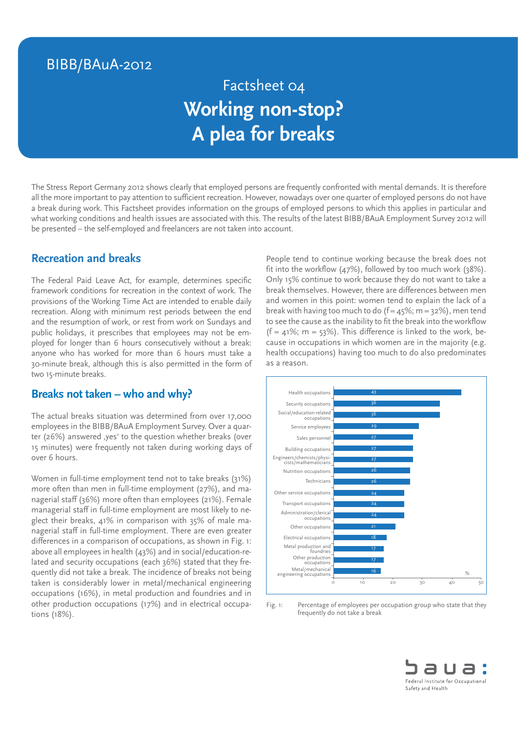# BIBB/BAuA-2012

# Factsheet 04 **Working non-stop? A plea for breaks**

The Stress Report Germany 2012 shows clearly that employed persons are frequently confronted with mental demands. It is therefore all the more important to pay attention to sufficient recreation. However, nowadays over one quarter of employed persons do not have a break during work. This Factsheet provides information on the groups of employed persons to which this applies in particular and what working conditions and health issues are associated with this. The results of the latest BIBB/BAuA Employment Survey 2012 will be presented – the self-employed and freelancers are not taken into account.

#### **Recreation and breaks**

The Federal Paid Leave Act, for example, determines specific framework conditions for recreation in the context of work. The provisions of the Working Time Act are intended to enable daily recreation. Along with minimum rest periods between the end and the resumption of work, or rest from work on Sundays and public holidays, it prescribes that employees may not be employed for longer than 6 hours consecutively without a break: anyone who has worked for more than 6 hours must take a 30-minute break, although this is also permitted in the form of two 15-minute breaks.

#### **Breaks not taken – who and why?**

The actual breaks situation was determined from over 17,000 employees in the BIBB/BAuA Employment Survey. Over a quarter (26%) answered ,yes' to the question whether breaks (over 15 minutes) were frequently not taken during working days of over 6 hours.

Women in full-time employment tend not to take breaks (31%) more often than men in full-time employment (27%), and managerial staff (36%) more often than employees (21%). Female managerial staff in full-time employment are most likely to neglect their breaks, 41% in comparison with 35% of male managerial staff in full-time employment. There are even greater differences in a comparison of occupations, as shown in Fig. 1: above all employees in health (43%) and in social/education-related and security occupations (each 36%) stated that they frequently did not take a break. The incidence of breaks not being taken is considerably lower in metal/mechanical engineering occupations (16%), in metal production and foundries and in other production occupations (17%) and in electrical occupations (18%).

People tend to continue working because the break does not fit into the workflow (47%), followed by too much work (38%). Only 15% continue to work because they do not want to take a break themselves. However, there are differences between men and women in this point: women tend to explain the lack of a break with having too much to do  $(f = \mu_5\%; m = 32\%)$ , men tend to see the cause as the inability to fit the break into the workflow  $(f = \Delta 1\%)$ ; m = 53%). This difference is linked to the work, because in occupations in which women are in the majority (e.g. health occupations) having too much to do also predominates as a reason.



Fig. 1: Percentage of employees per occupation group who state that they frequently do not take a break